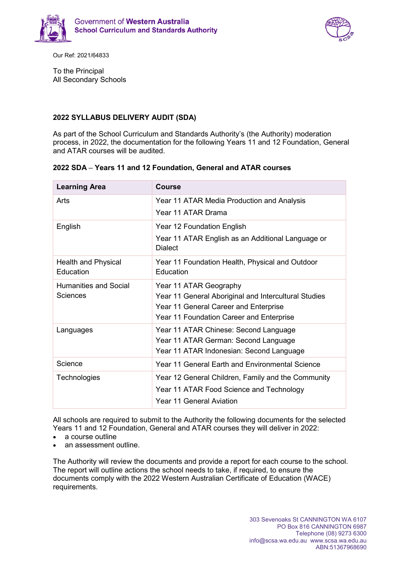



Our Ref: 2021/64833

To the Principal All Secondary Schools

## **2022 SYLLABUS DELIVERY AUDIT (SDA)**

As part of the School Curriculum and Standards Authority's (the Authority) moderation process, in 2022, the documentation for the following Years 11 and 12 Foundation, General and ATAR courses will be audited.

| <b>Learning Area</b>                    | <b>Course</b>                                                                                 |
|-----------------------------------------|-----------------------------------------------------------------------------------------------|
| Arts                                    | Year 11 ATAR Media Production and Analysis                                                    |
|                                         | Year 11 ATAR Drama                                                                            |
| English                                 | Year 12 Foundation English                                                                    |
|                                         | Year 11 ATAR English as an Additional Language or<br><b>Dialect</b>                           |
| <b>Health and Physical</b><br>Education | Year 11 Foundation Health, Physical and Outdoor<br><b>Education</b>                           |
| Humanities and Social                   | Year 11 ATAR Geography                                                                        |
| <b>Sciences</b>                         | Year 11 General Aboriginal and Intercultural Studies<br>Year 11 General Career and Enterprise |
|                                         | Year 11 Foundation Career and Enterprise                                                      |
| Languages                               | Year 11 ATAR Chinese: Second Language                                                         |
|                                         | Year 11 ATAR German: Second Language                                                          |
|                                         | Year 11 ATAR Indonesian: Second Language                                                      |
| Science                                 | Year 11 General Earth and Environmental Science                                               |
| Technologies                            | Year 12 General Children, Family and the Community                                            |
|                                         | Year 11 ATAR Food Science and Technology                                                      |
|                                         | <b>Year 11 General Aviation</b>                                                               |

## **2022 SDA – Years 11 and 12 Foundation, General and ATAR courses**

All schools are required to submit to the Authority the following documents for the selected Years 11 and 12 Foundation, General and ATAR courses they will deliver in 2022:

- a course outline
- an assessment outline.

The Authority will review the documents and provide a report for each course to the school. The report will outline actions the school needs to take, if required, to ensure the documents comply with the 2022 Western Australian Certificate of Education (WACE) requirements.